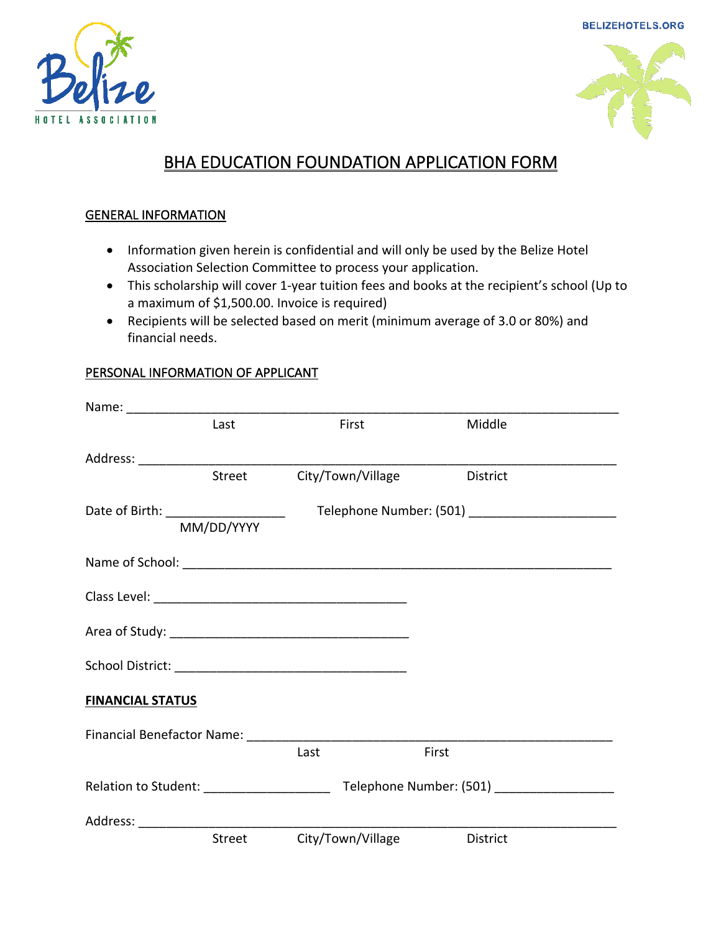**BELIZEHOTELS.ORG** 





# BHA EDUCATION FOUNDATION APPLICATION FORM

#### GENERAL INFORMATION

- Information given herein is confidential and will only be used by the Belize Hotel Association Selection Committee to process your application.
- This scholarship will cover 1-year tuition fees and books at the recipient's school (Up to a maximum of \$1,500.00. Invoice is required)
- Recipients will be selected based on merit (minimum average of 3.0 or 80%) and financial needs.

## PERSONAL INFORMATION OF APPLICANT

|                                      | Last       | First             | Middle          |  |
|--------------------------------------|------------|-------------------|-----------------|--|
|                                      |            |                   |                 |  |
|                                      | Street     | City/Town/Village | <b>District</b> |  |
| Date of Birth: _____________________ |            |                   |                 |  |
|                                      | MM/DD/YYYY |                   |                 |  |
|                                      |            |                   |                 |  |
|                                      |            |                   |                 |  |
|                                      |            |                   |                 |  |
|                                      |            |                   |                 |  |
| <b>FINANCIAL STATUS</b>              |            |                   |                 |  |
|                                      |            |                   |                 |  |
|                                      |            | Last              | First           |  |
|                                      |            |                   |                 |  |
| Address: _______________________     |            |                   |                 |  |
|                                      | Street     | City/Town/Village | <b>District</b> |  |